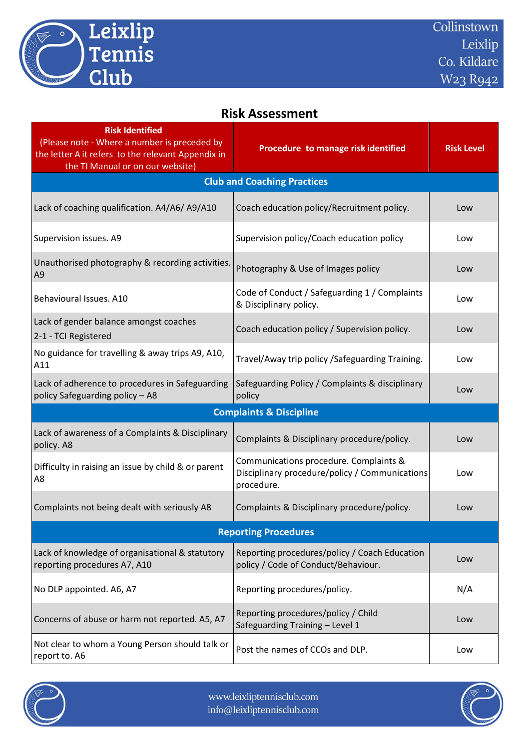

## **Risk Assessment**

| <b>Risk Identified</b><br>(Please note - Where a number is preceded by<br>the letter A it refers to the relevant Appendix in<br>the TI Manual or on our website) | Procedure to manage risk identified                                                                    | <b>Risk Level</b> |  |  |
|------------------------------------------------------------------------------------------------------------------------------------------------------------------|--------------------------------------------------------------------------------------------------------|-------------------|--|--|
| <b>Club and Coaching Practices</b>                                                                                                                               |                                                                                                        |                   |  |  |
| Lack of coaching qualification. A4/A6/A9/A10                                                                                                                     | Coach education policy/Recruitment policy.                                                             | Low               |  |  |
| Supervision issues. A9                                                                                                                                           | Supervision policy/Coach education policy                                                              | Low               |  |  |
| Unauthorised photography & recording activities.<br>A <sub>9</sub>                                                                                               | Photography & Use of Images policy                                                                     | Low               |  |  |
| Behavioural Issues. A10                                                                                                                                          | Code of Conduct / Safeguarding 1 / Complaints<br>& Disciplinary policy.                                | Low               |  |  |
| Lack of gender balance amongst coaches<br>2-1 - TCI Registered                                                                                                   | Coach education policy / Supervision policy.                                                           | Low               |  |  |
| No guidance for travelling & away trips A9, A10,<br>A11                                                                                                          | Travel/Away trip policy /Safeguarding Training.                                                        | Low               |  |  |
| Lack of adherence to procedures in Safeguarding<br>policy Safeguarding policy - A8                                                                               | Safeguarding Policy / Complaints & disciplinary<br>policy                                              | Low               |  |  |
| <b>Complaints &amp; Discipline</b>                                                                                                                               |                                                                                                        |                   |  |  |
| Lack of awareness of a Complaints & Disciplinary<br>policy. A8                                                                                                   | Complaints & Disciplinary procedure/policy.                                                            | Low               |  |  |
| Difficulty in raising an issue by child & or parent<br>A8                                                                                                        | Communications procedure. Complaints &<br>Disciplinary procedure/policy / Communications<br>procedure. | Low               |  |  |
| Complaints not being dealt with seriously A8                                                                                                                     | Complaints & Disciplinary procedure/policy.                                                            | Low               |  |  |
| <b>Reporting Procedures</b>                                                                                                                                      |                                                                                                        |                   |  |  |
| Lack of knowledge of organisational & statutory<br>reporting procedures A7, A10                                                                                  | Reporting procedures/policy / Coach Education<br>policy / Code of Conduct/Behaviour.                   | Low               |  |  |
| No DLP appointed. A6, A7                                                                                                                                         | Reporting procedures/policy.                                                                           | N/A               |  |  |
| Concerns of abuse or harm not reported. A5, A7                                                                                                                   | Reporting procedures/policy / Child<br>Safeguarding Training - Level 1                                 | Low               |  |  |
| Not clear to whom a Young Person should talk or<br>report to. A6                                                                                                 | Post the names of CCOs and DLP.                                                                        | Low               |  |  |



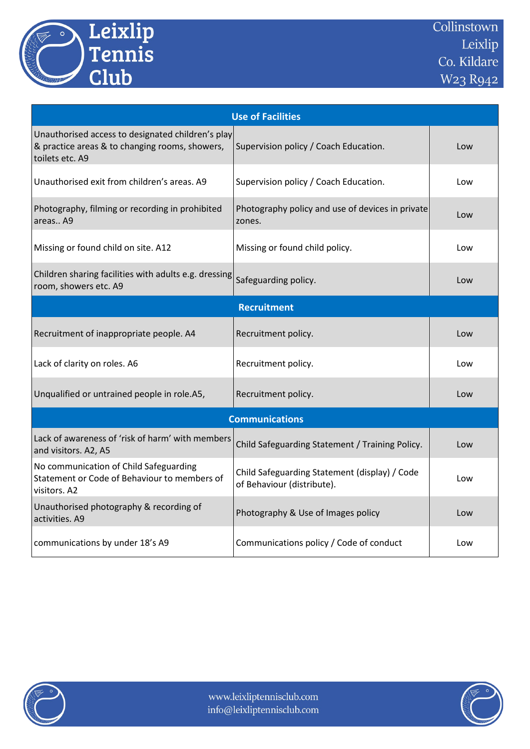

| <b>Use of Facilities</b>                                                                                               |                                                                             |     |  |  |  |
|------------------------------------------------------------------------------------------------------------------------|-----------------------------------------------------------------------------|-----|--|--|--|
| Unauthorised access to designated children's play<br>& practice areas & to changing rooms, showers,<br>toilets etc. A9 | Supervision policy / Coach Education.                                       | Low |  |  |  |
| Unauthorised exit from children's areas. A9                                                                            | Supervision policy / Coach Education.                                       | Low |  |  |  |
| Photography, filming or recording in prohibited<br>areas A9                                                            | Photography policy and use of devices in private<br>zones.                  | Low |  |  |  |
| Missing or found child on site. A12                                                                                    | Missing or found child policy.                                              | Low |  |  |  |
| Children sharing facilities with adults e.g. dressing<br>room, showers etc. A9                                         | Safeguarding policy.                                                        | Low |  |  |  |
|                                                                                                                        | <b>Recruitment</b>                                                          |     |  |  |  |
| Recruitment of inappropriate people. A4                                                                                | Recruitment policy.                                                         | Low |  |  |  |
| Lack of clarity on roles. A6                                                                                           | Recruitment policy.                                                         | Low |  |  |  |
| Unqualified or untrained people in role.A5,                                                                            | Recruitment policy.                                                         | Low |  |  |  |
| <b>Communications</b>                                                                                                  |                                                                             |     |  |  |  |
| Lack of awareness of 'risk of harm' with members<br>and visitors. A2, A5                                               | Child Safeguarding Statement / Training Policy.                             | Low |  |  |  |
| No communication of Child Safeguarding<br>Statement or Code of Behaviour to members of<br>visitors. A2                 | Child Safeguarding Statement (display) / Code<br>of Behaviour (distribute). | Low |  |  |  |
| Unauthorised photography & recording of<br>activities. A9                                                              | Photography & Use of Images policy                                          | Low |  |  |  |
| communications by under 18's A9                                                                                        | Communications policy / Code of conduct                                     | Low |  |  |  |